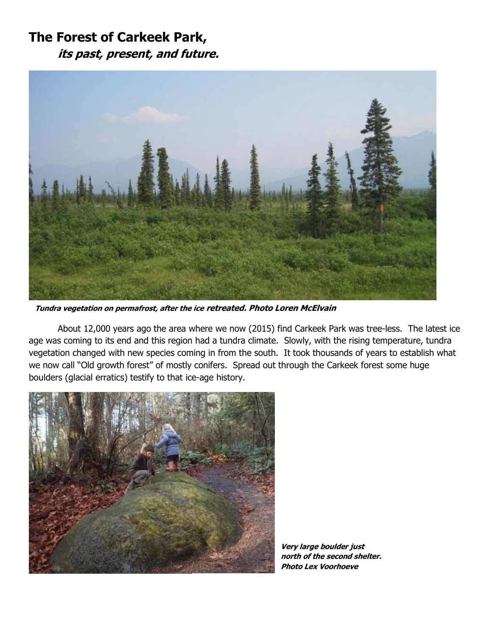## **The Forest of Carkeek Park, its past, present, and future.**



**Tundra vegetation on permafrost, after the ice retreated. Photo Loren McElvain**

About 12,000 years ago the area where we now (2015) find Carkeek Park was tree-less. The latest ice age was coming to its end and this region had a tundra climate. Slowly, with the rising temperature, tundra vegetation changed with new species coming in from the south. It took thousands of years to establish what we now call "Old growth forest" of mostly conifers. Spread out through the Carkeek forest some huge boulders (glacial erratics) testify to that ice-age history.



**Very large boulder just north of the second shelter. Photo Lex Voorhoeve**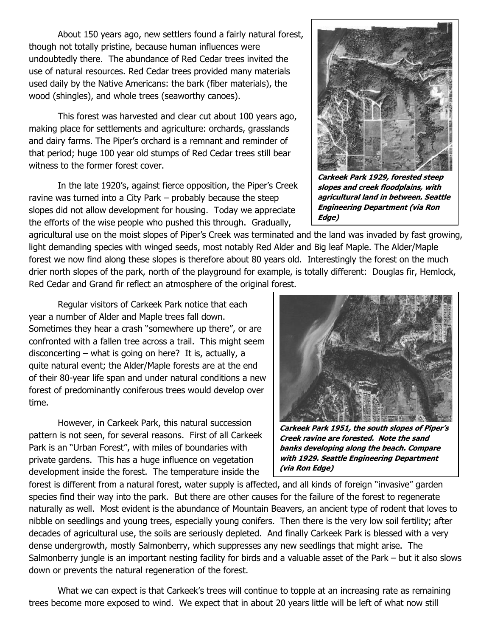About 150 years ago, new settlers found a fairly natural forest, though not totally pristine, because human influences were undoubtedly there. The abundance of Red Cedar trees invited the use of natural resources. Red Cedar trees provided many materials used daily by the Native Americans: the bark (fiber materials), the wood (shingles), and whole trees (seaworthy canoes).

This forest was harvested and clear cut about 100 years ago, making place for settlements and agriculture: orchards, grasslands and dairy farms. The Piper's orchard is a remnant and reminder of that period; huge 100 year old stumps of Red Cedar trees still bear witness to the former forest cover.

In the late 1920's, against fierce opposition, the Piper's Creek ravine was turned into a City Park – probably because the steep slopes did not allow development for housing. Today we appreciate the efforts of the wise people who pushed this through. Gradually,

agricultural use on the moist slopes of Piper's Creek was terminated and the land was invaded by fast growing, light demanding species with winged seeds, most notably Red Alder and Big leaf Maple. The Alder/Maple forest we now find along these slopes is therefore about 80 years old. Interestingly the forest on the much drier north slopes of the park, north of the playground for example, is totally different: Douglas fir, Hemlock, Red Cedar and Grand fir reflect an atmosphere of the original forest.

Regular visitors of Carkeek Park notice that each year a number of Alder and Maple trees fall down. Sometimes they hear a crash "somewhere up there", or are confronted with a fallen tree across a trail. This might seem disconcerting – what is going on here? It is, actually, a quite natural event; the Alder/Maple forests are at the end of their 80-year life span and under natural conditions a new forest of predominantly coniferous trees would develop over time.

However, in Carkeek Park, this natural succession pattern is not seen, for several reasons. First of all Carkeek Park is an "Urban Forest", with miles of boundaries with private gardens. This has a huge influence on vegetation development inside the forest. The temperature inside the

**Creek ravine are forested. Note the sand banks developing along the beach. Compare with 1929. Seattle Engineering Department (via Ron Edge)**

forest is different from a natural forest, water supply is affected, and all kinds of foreign "invasive" garden species find their way into the park. But there are other causes for the failure of the forest to regenerate naturally as well. Most evident is the abundance of Mountain Beavers, an ancient type of rodent that loves to nibble on seedlings and young trees, especially young conifers. Then there is the very low soil fertility; after decades of agricultural use, the soils are seriously depleted. And finally Carkeek Park is blessed with a very dense undergrowth, mostly Salmonberry, which suppresses any new seedlings that might arise. The Salmonberry jungle is an important nesting facility for birds and a valuable asset of the Park – but it also slows down or prevents the natural regeneration of the forest.

What we can expect is that Carkeek's trees will continue to topple at an increasing rate as remaining trees become more exposed to wind. We expect that in about 20 years little will be left of what now still

**Carkeek Park 1929, forested steep slopes and creek floodplains, with agricultural land in between. Seattle Engineering Department (via Ron Edge)**